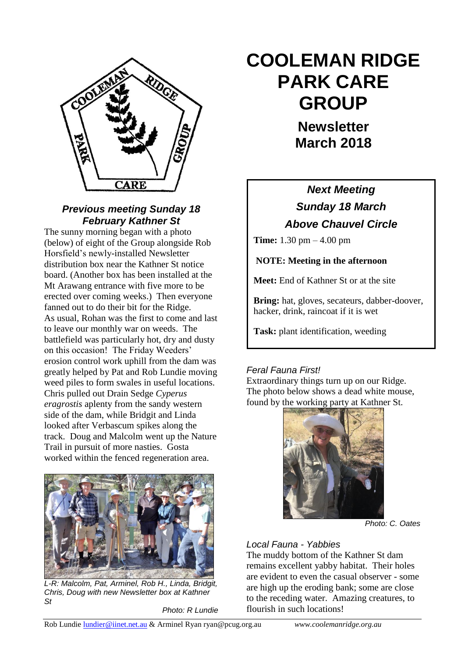

#### *Previous meeting Sunday 18 February Kathner St*

The sunny morning began with a photo (below) of eight of the Group alongside Rob Horsfield"s newly-installed Newsletter distribution box near the Kathner St notice board. (Another box has been installed at the Mt Arawang entrance with five more to be erected over coming weeks.) Then everyone fanned out to do their bit for the Ridge. As usual, Rohan was the first to come and last to leave our monthly war on weeds. The battlefield was particularly hot, dry and dusty on this occasion! The Friday Weeders' erosion control work uphill from the dam was greatly helped by Pat and Rob Lundie moving weed piles to form swales in useful locations. Chris pulled out Drain Sedge *Cyperus eragrostis* aplenty from the sandy western side of the dam, while Bridgit and Linda looked after Verbascum spikes along the track. Doug and Malcolm went up the Nature Trail in pursuit of more nasties. Gosta worked within the fenced regeneration area.



*L-R: Malcolm, Pat, Arminel, Rob H., Linda, Bridgit, Chris, Doug with new Newsletter box at Kathner St* 

*Photo: R Lundie*

# **COOLEMAN RIDGE PARK CARE GROUP**

**Newsletter March 2018** 

## *Next Meeting Sunday 18 March Above Chauvel Circle*

**Time:** 1.30 pm – 4.00 pm

**NOTE: Meeting in the afternoon**

**Meet:** End of Kathner St or at the site

**Bring:** hat, gloves, secateurs, dabber-doover, hacker, drink, raincoat if it is wet

**Task:** plant identification, weeding

## *Feral Fauna First!*

The photo below shows a dead white mouse, Extraordinary things turn up on our Ridge. found by the working party at Kathner St.



*Photo: C. Oates*

## *Local Fauna - Yabbies*

The muddy bottom of the Kathner St dam remains excellent yabby habitat. Their holes are evident to even the casual observer - some are high up the eroding bank; some are close to the receding water. Amazing creatures, to flourish in such locations!